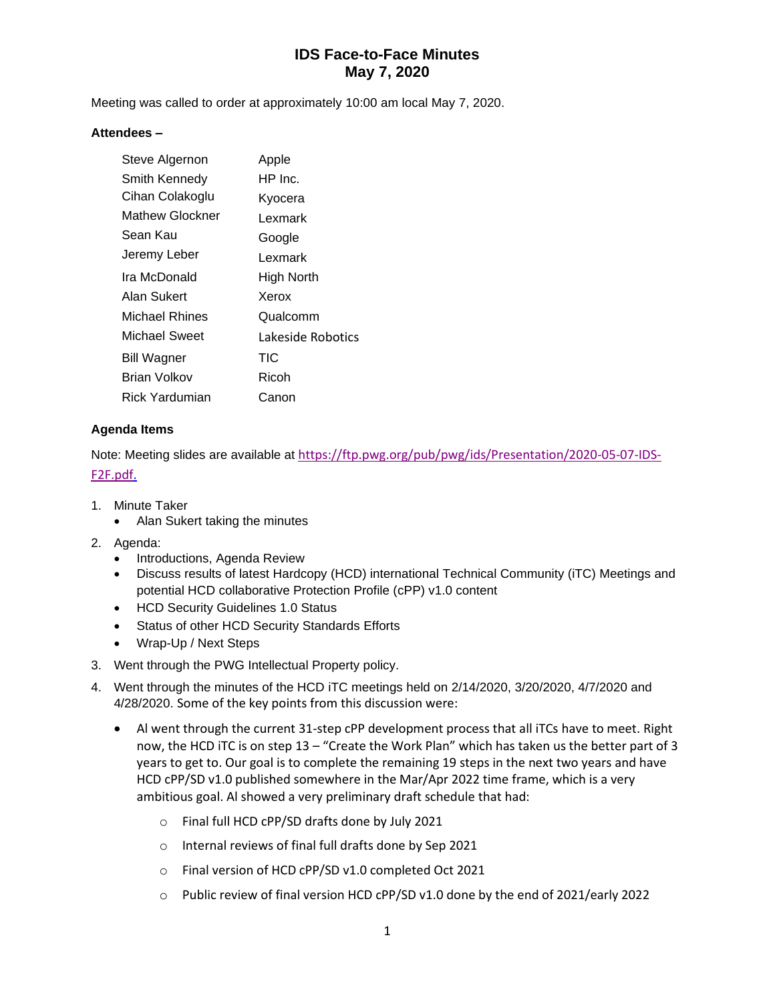# **IDS Face-to-Face Minutes May 7, 2020**

Meeting was called to order at approximately 10:00 am local May 7, 2020.

### **Attendees –**

| Apple             |
|-------------------|
| HP Inc.           |
| Kyocera           |
| Lexmark           |
| Google            |
| Lexmark           |
| High North        |
| Xerox             |
| Qualcomm          |
| Lakeside Robotics |
| TIC               |
| Ricoh             |
| Canon             |
|                   |

### **Agenda Items**

Note: Meeting slides are available at [https://ftp.pwg.org/pub/pwg/ids/Presentation/2020-05-07-IDS-](https://ftp.pwg.org/pub/pwg/ids/Presentation/2020-05-07-IDS-F2F.pdf)[F2F.pdf.](https://ftp.pwg.org/pub/pwg/ids/Presentation/2020-05-07-IDS-F2F.pdf)

- 1. Minute Taker
	- Alan Sukert taking the minutes
- 2. Agenda:
	- Introductions, Agenda Review
	- Discuss results of latest Hardcopy (HCD) international Technical Community (iTC) Meetings and potential HCD collaborative Protection Profile (cPP) v1.0 content
	- HCD Security Guidelines 1.0 Status
	- Status of other HCD Security Standards Efforts
	- Wrap-Up / Next Steps
- 3. Went through the PWG Intellectual Property policy.
- 4. Went through the minutes of the HCD iTC meetings held on 2/14/2020, 3/20/2020, 4/7/2020 and 4/28/2020. Some of the key points from this discussion were:
	- Al went through the current 31-step cPP development process that all iTCs have to meet. Right now, the HCD iTC is on step 13 – "Create the Work Plan" which has taken us the better part of 3 years to get to. Our goal is to complete the remaining 19 steps in the next two years and have HCD cPP/SD v1.0 published somewhere in the Mar/Apr 2022 time frame, which is a very ambitious goal. Al showed a very preliminary draft schedule that had:
		- o Final full HCD cPP/SD drafts done by July 2021
		- o Internal reviews of final full drafts done by Sep 2021
		- o Final version of HCD cPP/SD v1.0 completed Oct 2021
		- o Public review of final version HCD cPP/SD v1.0 done by the end of 2021/early 2022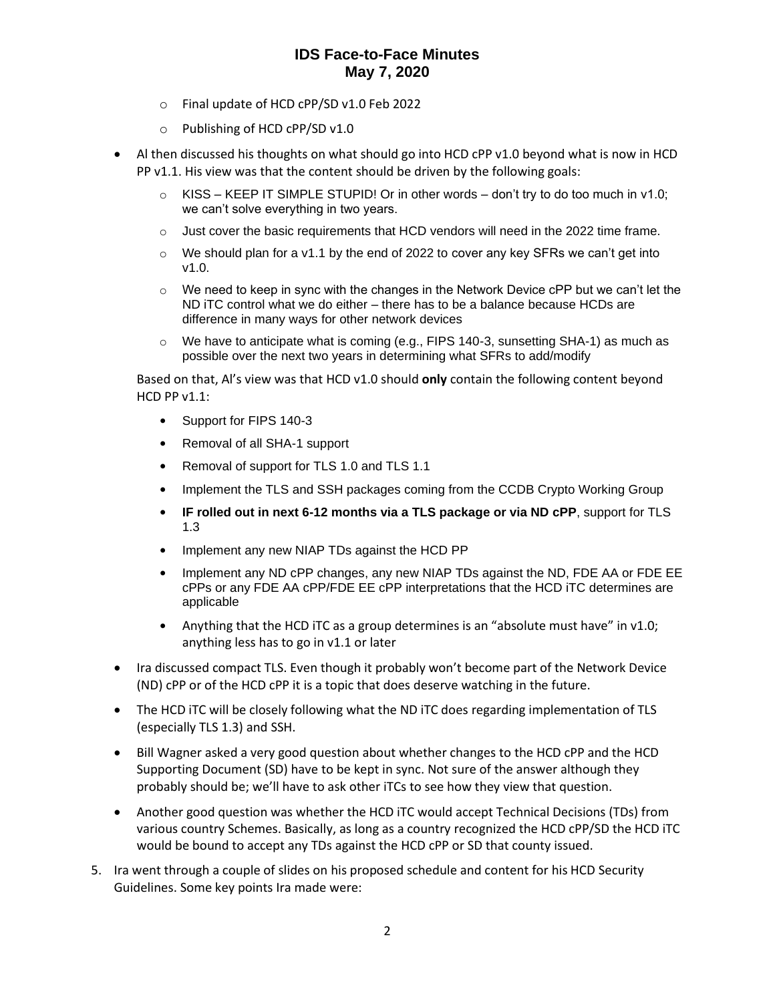## **IDS Face-to-Face Minutes May 7, 2020**

- o Final update of HCD cPP/SD v1.0 Feb 2022
- o Publishing of HCD cPP/SD v1.0
- Al then discussed his thoughts on what should go into HCD cPP v1.0 beyond what is now in HCD PP v1.1. His view was that the content should be driven by the following goals:
	- $\circ$  KISS KEEP IT SIMPLE STUPID! Or in other words don't try to do too much in v1.0; we can't solve everything in two years.
	- $\circ$  Just cover the basic requirements that HCD vendors will need in the 2022 time frame.
	- $\circ$  We should plan for a v1.1 by the end of 2022 to cover any key SFRs we can't get into v1.0.
	- $\circ$  We need to keep in sync with the changes in the Network Device cPP but we can't let the ND iTC control what we do either – there has to be a balance because HCDs are difference in many ways for other network devices
	- $\circ$  We have to anticipate what is coming (e.g., FIPS 140-3, sunsetting SHA-1) as much as possible over the next two years in determining what SFRs to add/modify

Based on that, Al's view was that HCD v1.0 should **only** contain the following content beyond  $HCD$  PP  $v1.1$ :

- Support for FIPS 140-3
- Removal of all SHA-1 support
- Removal of support for TLS 1.0 and TLS 1.1
- Implement the TLS and SSH packages coming from the CCDB Crypto Working Group
- **IF rolled out in next 6-12 months via a TLS package or via ND cPP**, support for TLS 1.3
- Implement any new NIAP TDs against the HCD PP
- Implement any ND cPP changes, any new NIAP TDs against the ND, FDE AA or FDE EE cPPs or any FDE AA cPP/FDE EE cPP interpretations that the HCD iTC determines are applicable
- Anything that the HCD iTC as a group determines is an "absolute must have" in v1.0; anything less has to go in v1.1 or later
- Ira discussed compact TLS. Even though it probably won't become part of the Network Device (ND) cPP or of the HCD cPP it is a topic that does deserve watching in the future.
- The HCD iTC will be closely following what the ND iTC does regarding implementation of TLS (especially TLS 1.3) and SSH.
- Bill Wagner asked a very good question about whether changes to the HCD cPP and the HCD Supporting Document (SD) have to be kept in sync. Not sure of the answer although they probably should be; we'll have to ask other iTCs to see how they view that question.
- Another good question was whether the HCD iTC would accept Technical Decisions (TDs) from various country Schemes. Basically, as long as a country recognized the HCD cPP/SD the HCD iTC would be bound to accept any TDs against the HCD cPP or SD that county issued.
- 5. Ira went through a couple of slides on his proposed schedule and content for his HCD Security Guidelines. Some key points Ira made were: